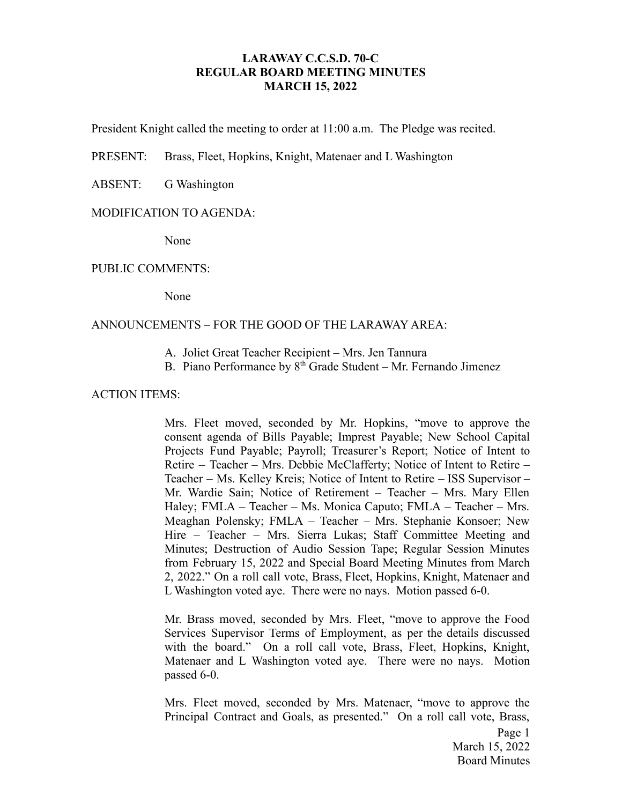## **LARAWAY C.C.S.D. 70-C REGULAR BOARD MEETING MINUTES MARCH 15, 2022**

President Knight called the meeting to order at 11:00 a.m. The Pledge was recited.

PRESENT: Brass, Fleet, Hopkins, Knight, Matenaer and L Washington

ABSENT: G Washington

#### MODIFICATION TO AGENDA:

None

#### PUBLIC COMMENTS:

None

### ANNOUNCEMENTS – FOR THE GOOD OF THE LARAWAY AREA:

- A. Joliet Great Teacher Recipient Mrs. Jen Tannura
- B. Piano Performance by  $8<sup>th</sup>$  Grade Student Mr. Fernando Jimenez

#### ACTION ITEMS:

Mrs. Fleet moved, seconded by Mr. Hopkins, "move to approve the consent agenda of Bills Payable; Imprest Payable; New School Capital Projects Fund Payable; Payroll; Treasurer's Report; Notice of Intent to Retire – Teacher – Mrs. Debbie McClafferty; Notice of Intent to Retire – Teacher – Ms. Kelley Kreis; Notice of Intent to Retire – ISS Supervisor – Mr. Wardie Sain; Notice of Retirement – Teacher – Mrs. Mary Ellen Haley; FMLA – Teacher – Ms. Monica Caputo; FMLA – Teacher – Mrs. Meaghan Polensky; FMLA – Teacher – Mrs. Stephanie Konsoer; New Hire – Teacher – Mrs. Sierra Lukas; Staff Committee Meeting and Minutes; Destruction of Audio Session Tape; Regular Session Minutes from February 15, 2022 and Special Board Meeting Minutes from March 2, 2022." On a roll call vote, Brass, Fleet, Hopkins, Knight, Matenaer and L Washington voted aye. There were no nays. Motion passed 6-0.

Mr. Brass moved, seconded by Mrs. Fleet, "move to approve the Food Services Supervisor Terms of Employment, as per the details discussed with the board." On a roll call vote, Brass, Fleet, Hopkins, Knight, Matenaer and L Washington voted aye. There were no nays. Motion passed 6-0.

Mrs. Fleet moved, seconded by Mrs. Matenaer, "move to approve the Principal Contract and Goals, as presented." On a roll call vote, Brass,

> Page 1 March 15, 2022 Board Minutes